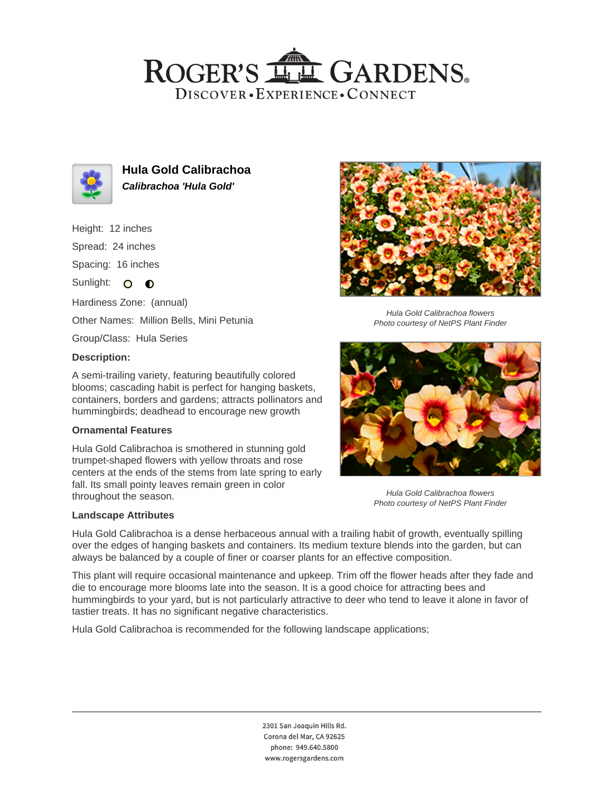## ROGER'S LL GARDENS. DISCOVER · EXPERIENCE · CONNECT



**Hula Gold Calibrachoa Calibrachoa 'Hula Gold'**

Height: 12 inches

Spread: 24 inches

Spacing: 16 inches

Sunlight: O **O** 

Hardiness Zone: (annual)

Other Names: Million Bells, Mini Petunia

Group/Class: Hula Series

### **Description:**

A semi-trailing variety, featuring beautifully colored blooms; cascading habit is perfect for hanging baskets, containers, borders and gardens; attracts pollinators and hummingbirds; deadhead to encourage new growth

#### **Ornamental Features**

Hula Gold Calibrachoa is smothered in stunning gold trumpet-shaped flowers with yellow throats and rose centers at the ends of the stems from late spring to early fall. Its small pointy leaves remain green in color throughout the season.

#### **Landscape Attributes**



Hula Gold Calibrachoa flowers Photo courtesy of NetPS Plant Finder



Hula Gold Calibrachoa flowers Photo courtesy of NetPS Plant Finder

Hula Gold Calibrachoa is a dense herbaceous annual with a trailing habit of growth, eventually spilling over the edges of hanging baskets and containers. Its medium texture blends into the garden, but can always be balanced by a couple of finer or coarser plants for an effective composition.

This plant will require occasional maintenance and upkeep. Trim off the flower heads after they fade and die to encourage more blooms late into the season. It is a good choice for attracting bees and hummingbirds to your yard, but is not particularly attractive to deer who tend to leave it alone in favor of tastier treats. It has no significant negative characteristics.

Hula Gold Calibrachoa is recommended for the following landscape applications;

2301 San Joaquin Hills Rd. Corona del Mar, CA 92625 phone: 949.640.5800 www.rogersgardens.com